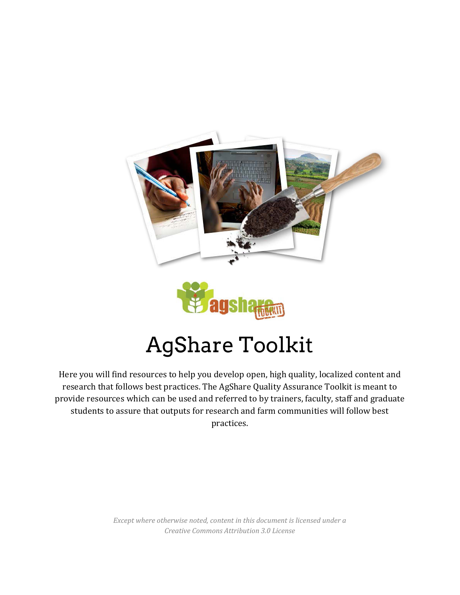



# AgShare Toolkit

Here you will find resources to help you develop open, high quality, localized content and research that follows best practices. The AgShare Quality Assurance Toolkit is meant to provide resources which can be used and referred to by trainers, faculty, staff and graduate students to assure that outputs for research and farm communities will follow best practices.

> *Except where otherwise noted, content in this document is licensed under a Creative Commons Attribution 3.0 License*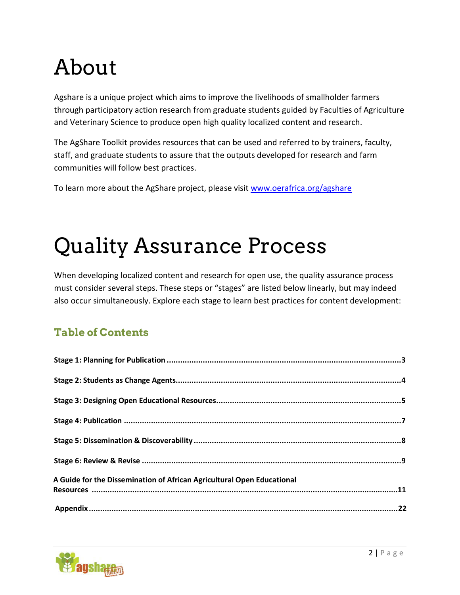# About

Agshare is a unique project which aims to improve the livelihoods of smallholder farmers through participatory action research from graduate students guided by Faculties of Agriculture and Veterinary Science to produce open high quality localized content and research.

The AgShare Toolkit provides resources that can be used and referred to by trainers, faculty, staff, and graduate students to assure that the outputs developed for research and farm communities will follow best practices.

To learn more about the AgShare project, please visit [www.oerafrica.org/agshare](http://www.oerafrica.org/agshare)

# Quality Assurance Process

When developing localized content and research for open use, the quality assurance process must consider several steps. These steps or "stages" are listed below linearly, but may indeed also occur simultaneously. Explore each stage to learn best practices for content development:

# **Table of Contents**

| A Guide for the Dissemination of African Agricultural Open Educational |  |
|------------------------------------------------------------------------|--|
|                                                                        |  |
|                                                                        |  |
|                                                                        |  |

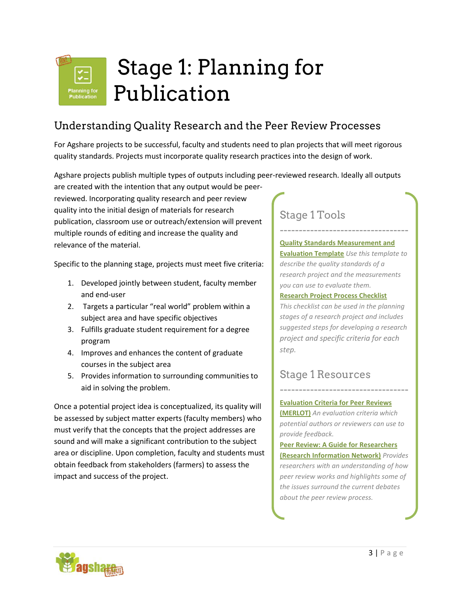<span id="page-2-0"></span>

# Understanding Quality Research and the Peer Review Processes

For Agshare projects to be successful, faculty and students need to plan projects that will meet rigorous quality standards. Projects must incorporate quality research practices into the design of work.

Agshare projects publish multiple types of outputs including peer-reviewed research. Ideally all outputs

are created with the intention that any output would be peerreviewed. Incorporating quality research and peer review quality into the initial design of materials for research publication, classroom use or outreach/extension will prevent multiple rounds of editing and increase the quality and relevance of the material.

Specific to the planning stage, projects must meet five criteria:

- 1. Developed jointly between student, faculty member and end-user
- 2. Targets a particular "real world" problem within a subject area and have specific objectives
- 3. Fulfills graduate student requirement for a degree program
- 4. Improves and enhances the content of graduate courses in the subject area
- 5. Provides information to surrounding communities to aid in solving the problem.

Once a potential project idea is conceptualized, its quality will be assessed by subject matter experts (faculty members) who must verify that the concepts that the project addresses are sound and will make a significant contribution to the subject area or discipline. Upon completion, faculty and students must obtain feedback from stakeholders (farmers) to assess the impact and success of the project.

# Stage 1 Tools

**[Quality Standards Measurement and](#page-22-0)  Evaluation Template** *Use this template to describe the quality standards of a research project and the measurements you can use to evaluate them.*

----------------------------------

#### **[Research Project Process Checklist](#page-23-0)**

*This checklist can be used in the planning stages of a research project and includes suggested steps for developing a research project and specific criteria for each step.*

## Stage 1 Resources

### **[Evaluation Criteria for Peer Reviews](http://taste.merlot.org/evaluationcriteria.html)**

**[\(MERLOT\)](http://taste.merlot.org/evaluationcriteria.html)** *An evaluation criteria which potential authors or reviewers can use to provide feedback.*

----------------------------------

**[Peer Review: A Guide for Researchers](http://www.rin.ac.uk/our-work/communicating-and-disseminating-research/peer-review-guide-researchers)  [\(Research Information Network\)](http://www.rin.ac.uk/our-work/communicating-and-disseminating-research/peer-review-guide-researchers)** *Provides researchers with an understanding of how peer review works and highlights some of the issues surround the current debates about the peer review process.*

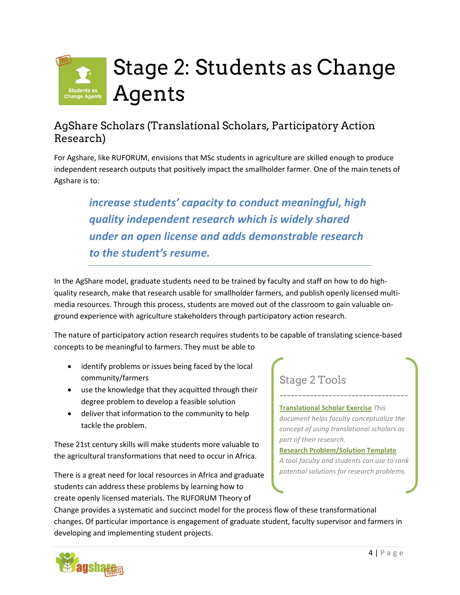<span id="page-3-0"></span>

# AgShare Scholars (Translational Scholars, Participatory Action Research)

For Agshare, like RUFORUM, envisions that MSc students in agriculture are skilled enough to produce independent research outputs that positively impact the smallholder farmer. One of the main tenets of Agshare is to:

*increase students' capacity to conduct meaningful, high quality independent research which is widely shared under an open license and adds demonstrable research to the student's resume.*

In the AgShare model, graduate students need to be trained by faculty and staff on how to do highquality research, make that research usable for smallholder farmers, and publish openly licensed multimedia resources. Through this process, students are moved out of the classroom to gain valuable onground experience with agriculture stakeholders through participatory action research.

The nature of participatory action research requires students to be capable of translating science-based concepts to be meaningful to farmers. They must be able to

- identify problems or issues being faced by the local community/farmers
- use the knowledge that they acquitted through their degree problem to develop a feasible solution
- deliver that information to the community to help tackle the problem.

These 21st century skills will make students more valuable to the agricultural transformations that need to occur in Africa.

There is a great need for local resources in Africa and graduate students can address these problems by learning how to create openly licensed materials. The RUFORUM Theory of

# Stage 2 Tools

**[Translational Scholar Exercise](#page-24-0)** *This document helps faculty conceptualize the concept of using translational scholars as part of their research.*

----------------------------------

### **[Research Problem/Solution Template](http://agsharetoolkit.com/research-problemsolution-template/)**

*A tool faculty and students can use to rank potential solutions for research problems.*

Change provides a systematic and succinct model for the process flow of these transformational changes. Of particular importance is engagement of graduate student, faculty supervisor and farmers in developing and implementing student projects.

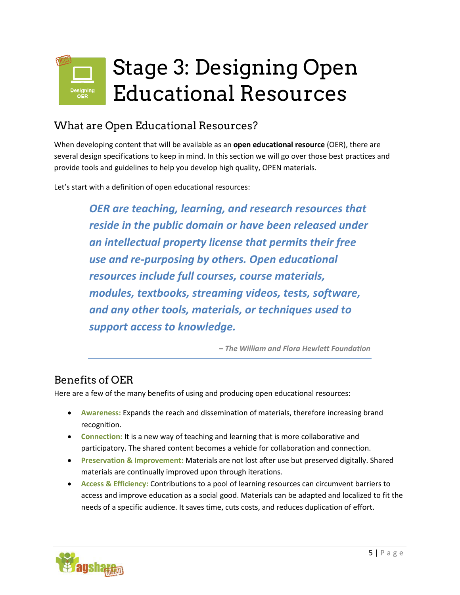# <span id="page-4-0"></span>Stage 3: Designing Open Educational Resources

# What are Open Educational Resources?

When developing content that will be available as an **open educational resource** (OER), there are several design specifications to keep in mind. In this section we will go over those best practices and provide tools and guidelines to help you develop high quality, OPEN materials.

Let's start with a definition of open educational resources:

*OER are teaching, learning, and research resources that reside in the public domain or have been released under an intellectual property license that permits their free use and re-purposing by others. Open educational resources include full courses, course materials, modules, textbooks, streaming videos, tests, software, and any other tools, materials, or techniques used to support access to knowledge.*

*– The William and Flora Hewlett Foundation*

# Benefits of OER

Here are a few of the many benefits of using and producing open educational resources:

- **Awareness:** Expands the reach and dissemination of materials, therefore increasing brand recognition.
- **Connection:** It is a new way of teaching and learning that is more collaborative and participatory. The shared content becomes a vehicle for collaboration and connection.
- **Preservation & Improvement:** Materials are not lost after use but preserved digitally. Shared materials are continually improved upon through iterations.
- **Access & Efficiency:** Contributions to a pool of learning resources can circumvent barriers to access and improve education as a social good. Materials can be adapted and localized to fit the needs of a specific audience. It saves time, cuts costs, and reduces duplication of effort.

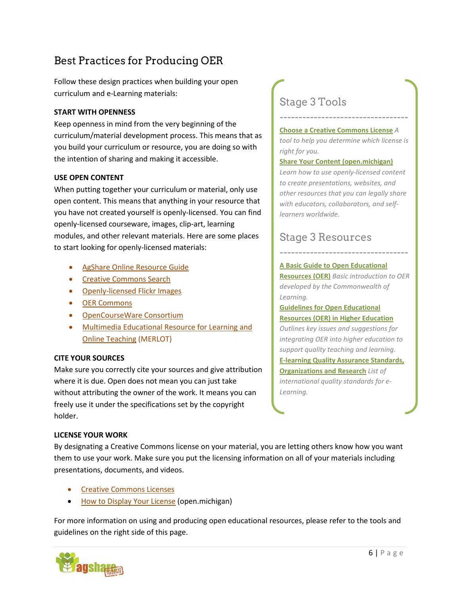# Best Practices for Producing OER

Follow these design practices when building your open curriculum and e-Learning materials:

### **START WITH OPENNESS**

Keep openness in mind from the very beginning of the curriculum/material development process. This means that as you build your curriculum or resource, you are doing so with the intention of sharing and making it accessible.

### **USE OPEN CONTENT**

When putting together your curriculum or material, only use open content. This means that anything in your resource that you have not created yourself is openly-licensed. You can find openly-licensed courseware, images, clip-art, learning modules, and other relevant materials. Here are some places to start looking for openly-licensed materials:

- [AgShare Online Resource Guide](http://agshare.wordpress.com/)
- [Creative Commons Search](http://search.creativecommons.org/)
- [Openly-licensed Flickr Images](http://www.flickr.com/creativecommons/)
- [OER Commons](http://www.oercommons.org/oer)
- [OpenCourseWare Consortium](http://ocwconsortium.org/courses/search)
- [Multimedia Educational Resource for Learning and](http://www.merlot.org/) [Online Teaching](http://www.merlot.org/) (MERLOT)

### **CITE YOUR SOURCES**

Make sure you correctly cite your sources and give attribution where it is due. Open does not mean you can just take without attributing the owner of the work. It means you can freely use it under the specifications set by the copyright holder.

### **LICENSE YOUR WORK**

By designating a Creative Commons license on your material, you are letting others know how you want them to use your work. Make sure you put the licensing information on all of your materials including presentations, documents, and videos.

- [Creative Commons Licenses](http://creativecommons.org/licenses/)
- [How to Display Your License](http://open.umich.edu/share/license) (open.michigan)

For more information on using and producing open educational resources, please refer to the tools and guidelines on the right side of this page.



# Stage 3 Tools

#### **[Choose a Creative Commons License](http://creativecommons.org/choose/)** *A*

*tool to help you determine which license is right for you.*

----------------------------------

#### **[Share Your Content](http://open.umich.edu/share/license) (open.michigan)**

*Learn how to use openly-licensed content to create presentations, websites, and other resources that you can legally share with educators, collaborators, and selflearners worldwide.*

# Stage 3 Resources

#### **[A Basic Guide to Open Educational](http://www.oerafrica.org/ResourceResults/tabid/1562/mctl/Details/id/38950/Default.aspx)**

**[Resources \(OER\)](http://www.oerafrica.org/ResourceResults/tabid/1562/mctl/Details/id/38950/Default.aspx)** *Basic introduction to OER developed by the Commonwealth of Learning.*

----------------------------------

### **[Guidelines for Open Educational](http://www.oerafrica.org/ResourceResults/tabid/1562/mctl/Details/id/39016/Default.aspx)  [Resources \(OER\) in Higher Education](http://www.oerafrica.org/ResourceResults/tabid/1562/mctl/Details/id/39016/Default.aspx)**

*Outlines key issues and suggestions for integrating OER into higher education to support quality teaching and learning.* **[E-learning Quality Assurance Standards,](http://www.tonybates.ca/2010/08/15/e-learning-quality-assurance-standards-organizations-and-research/)  [Organizations and Research](http://www.tonybates.ca/2010/08/15/e-learning-quality-assurance-standards-organizations-and-research/)** *List of international quality standards for e-Learning.*

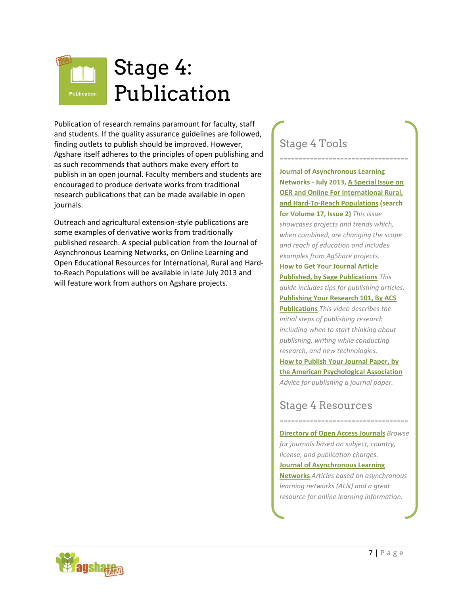<span id="page-6-0"></span>

Publication of research remains paramount for faculty, staff and students. If the quality assurance guidelines are followed, finding outlets to publish should be improved. However, Agshare itself adheres to the principles of open publishing and as such recommends that authors make every effort to publish in an open journal. Faculty members and students are encouraged to produce derivate works from traditional research publications that can be made available in open journals.

Outreach and agricultural extension-style publications are some examples of derivative works from traditionally published research. A special publication from the Journal of Asynchronous Learning Networks, on Online Learning and Open Educational Resources for International, Rural and Hardto-Reach Populations will be available in late July 2013 and will feature work from authors on Agshare projects.

# Stage 4 Tools

---------------------------------- **Journal of Asynchronous Learning Networks - July 2013, A Special Issue on OER and Online For International Rural, and Hard-To-Reach Populations (search for Volume 17, Issue 2)** *This issue showcases projects and trends which, when combined, are changing the scope and reach of education and includes examples from AgShare projects.* **[How to Get Your Journal Article](http://www.sagepub.com/journalgateway/files/how_to_get_published.pdf)  [Published, by Sage Publications](http://www.sagepub.com/journalgateway/files/how_to_get_published.pdf)** *This guide includes tips for publishing articles.* **[Publishing Your Research 101, By ACS](http://pubs.acs.org/page/publish-research/episode-1.html)  [Publications](http://pubs.acs.org/page/publish-research/episode-1.html)** *This video describes the initial steps of publishing research including when to start thinking about publishing, writing while conducting research, and new technologies.* **[How to Publish Your Journal Paper, by](http://www.apa.org/monitor/sep02/publish.aspx)  [the American Psychological Association](http://www.apa.org/monitor/sep02/publish.aspx)** *Advice for publishing a journal paper.*

# Stage 4 Resources

**[Directory of Open Access Journals](http://www.doaj.org/)** *Browse for journals based on subject, country, license, and publication charges.*

----------------------------------

#### **[Journal of Asynchronous Learning](http://sloanconsortium.org/publications/jaln_main)**

**[Networks](http://sloanconsortium.org/publications/jaln_main)** *Articles based on asynchronous learning networks (ALN) and a great resource for online learning information.*

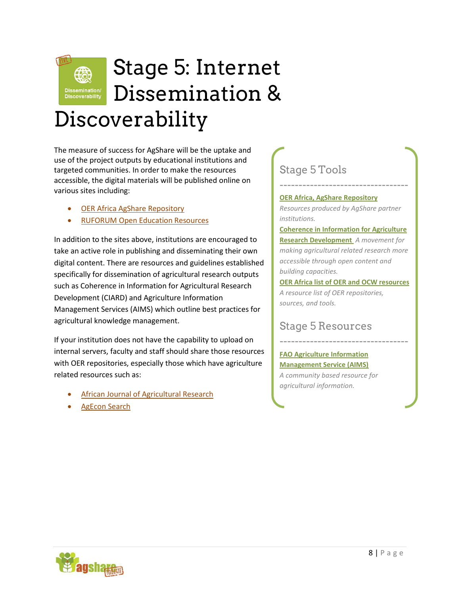

# <span id="page-7-0"></span>Stage 5: Internet Dissemination & Discoverability

The measure of success for AgShare will be the uptake and use of the project outputs by educational institutions and targeted communities. In order to make the resources accessible, the digital materials will be published online on various sites including:

- [OER Africa AgShare Repository](http://www.oerafrica.org/agshare/AgShareResources/tabid/1405/Default.aspx)
- [RUFORUM Open Education Resources](http://www.ruforum.org/category/documents-taxonomy/open-education-resources)

In addition to the sites above, institutions are encouraged to take an active role in publishing and disseminating their own digital content. There are resources and guidelines established specifically for dissemination of agricultural research outputs such as Coherence in Information for Agricultural Research Development (CIARD) and Agriculture Information Management Services (AIMS) which outline best practices for agricultural knowledge management.

If your institution does not have the capability to upload on internal servers, faculty and staff should share those resources with OER repositories, especially those which have agriculture related resources such as:

- [African Journal of Agricultural Research](http://www.academicjournals.org/ajar/index.htm)
- **[AgEcon Search](http://ageconsearch.umn.edu/)**

# Stage 5 Tools

**[OER Africa, AgShare Repository](http://www.oerafrica.org/agshare/AgShareResources/tabid/1405/Default.aspx)**

*Resources produced by AgShare partner institutions.*

----------------------------------

**[Coherence in Information for Agriculture](http://www.ciard.net/checklist-good-practices)  [Research Development](http://www.ciard.net/checklist-good-practices)** *A movement for making agricultural related research more accessible through open content and building capacities.*

**[OER Africa list of OER and OCW resources](http://www.oerafrica.org/OERRepositoriesOWCSearch/tabid/297/Default.aspx)** *A resource list of OER repositories, sources, and tools.*

----------------------------------

## Stage 5 Resources

### **[FAO Agriculture Information](http://aims.fao.org/)  [Management Service \(AIMS\)](http://aims.fao.org/)** *A community based resource for agricultural information.*

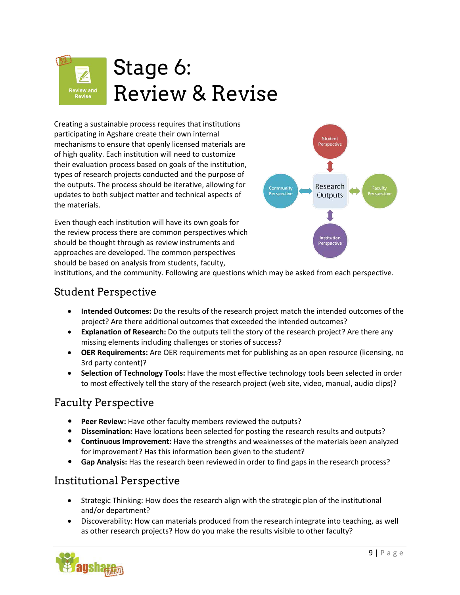# <span id="page-8-0"></span>Stage 6: Review & Revise

Creating a sustainable process requires that institutions participating in Agshare create their own internal mechanisms to ensure that openly licensed materials are of high quality. Each institution will need to customize their evaluation process based on goals of the institution, types of research projects conducted and the purpose of the outputs. The process should be iterative, allowing for updates to both subject matter and technical aspects of the materials.

Even though each institution will have its own goals for the review process there are common perspectives which should be thought through as review instruments and approaches are developed. The common perspectives should be based on analysis from students, faculty,



institutions, and the community. Following are questions which may be asked from each perspective.

## Student Perspective

- **Intended Outcomes:** Do the results of the research project match the intended outcomes of the project? Are there additional outcomes that exceeded the intended outcomes?
- **Explanation of Research:** Do the outputs tell the story of the research project? Are there any missing elements including challenges or stories of success?
- **OER Requirements:** Are OER requirements met for publishing as an open resource (licensing, no 3rd party content)?
- **Selection of Technology Tools:** Have the most effective technology tools been selected in order to most effectively tell the story of the research project (web site, video, manual, audio clips)?

## Faculty Perspective

- **Peer Review:** Have other faculty members reviewed the outputs?
- **Dissemination:** Have locations been selected for posting the research results and outputs?
- **Continuous Improvement:** Have the strengths and weaknesses of the materials been analyzed for improvement? Has this information been given to the student?
- **Gap Analysis:** Has the research been reviewed in order to find gaps in the research process?

# Institutional Perspective

- Strategic Thinking: How does the research align with the strategic plan of the institutional and/or department?
- Discoverability: How can materials produced from the research integrate into teaching, as well as other research projects? How do you make the results visible to other faculty?

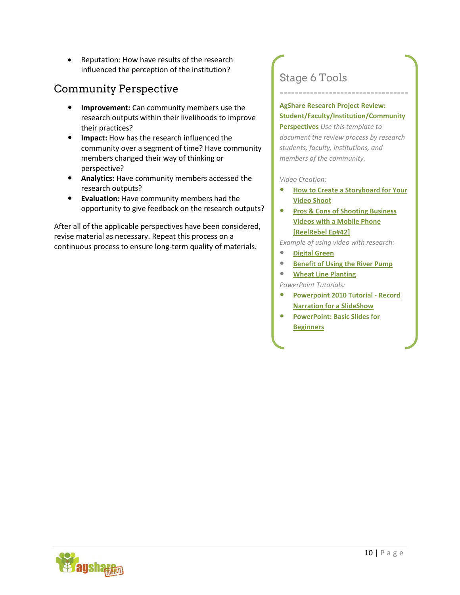• Reputation: How have results of the research influenced the perception of the institution?

# Community Perspective

- **Improvement:** Can community members use the research outputs within their livelihoods to improve their practices?
- **Impact:** How has the research influenced the community over a segment of time? Have community members changed their way of thinking or perspective?
- **Analytics:** Have community members accessed the research outputs?
- **Evaluation:** Have community members had the opportunity to give feedback on the research outputs?

After all of the applicable perspectives have been considered, revise material as necessary. Repeat this process on a continuous process to ensure long-term quality of materials.

# Stage 6 Tools

### **AgShare Research Project Review: Student/Faculty/Institution/Community**

----------------------------------

**Perspectives** *Use this template to document the review process by research students, faculty, institutions, and members of the community.*

#### *Video Creation:*

- **[How to Create a Storyboard for Your](http://www.youtube.com/watch?v=LgDwNxGIuCQ) [Video Shoot](http://www.youtube.com/watch?v=LgDwNxGIuCQ)**
- **[Pros & Cons of Shooting Business](http://www.youtube.com/watch?v=9FX0JQpipS4) [Videos with a Mobile Phone](http://www.youtube.com/watch?v=9FX0JQpipS4) [\[ReelRebel Ep#42\]](http://www.youtube.com/watch?v=9FX0JQpipS4)**

*Example of using video with research:* 

- **[Digital Green](http://www.digitalgreen.org/)**
- **[Benefit of Using the River Pump](http://youtu.be/PCfYwPU7U_o)**
- **[Wheat Line Planting](http://youtu.be/3oh6U57q1YA)**

*PowerPoint Tutorials:* 

- **[Powerpoint 2010 Tutorial Record](http://www.youtube.com/watch?v=QFmntINu_cI) [Narration for a SlideShow](http://www.youtube.com/watch?v=QFmntINu_cI)**
- **[PowerPoint: Basic Slides for](http://www.youtube.com/watch?v=Ua4AR_uylFo) [Beginners](http://www.youtube.com/watch?v=Ua4AR_uylFo)**

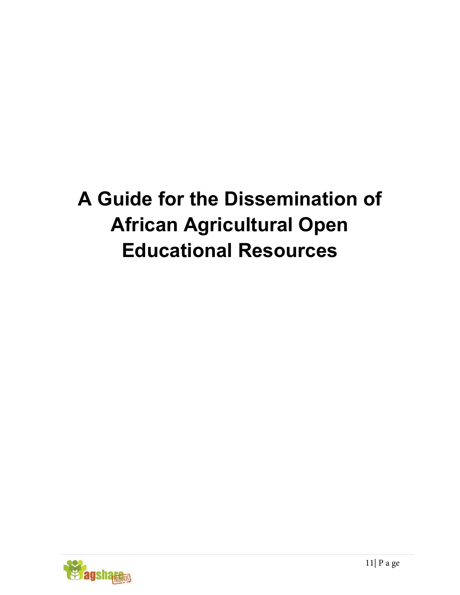# <span id="page-10-0"></span>**A Guide for the Dissemination of African Agricultural Open Educational Resources**

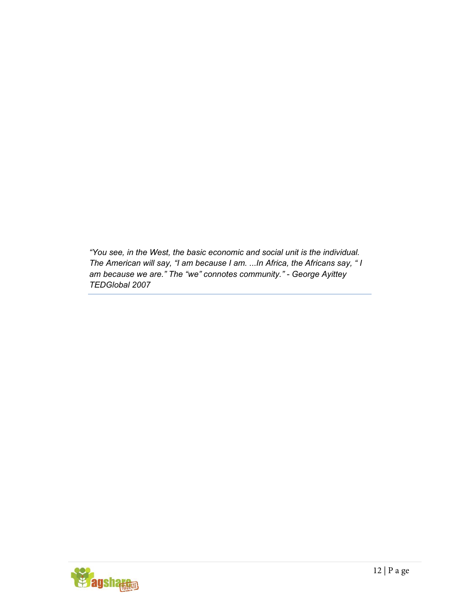*"You see, in the West, the basic economic and social unit is the individual. The American will say, "I am because I am. ...In Africa, the Africans say, " I am because we are." The "we" connotes community." - George Ayittey TEDGlobal 2007* 

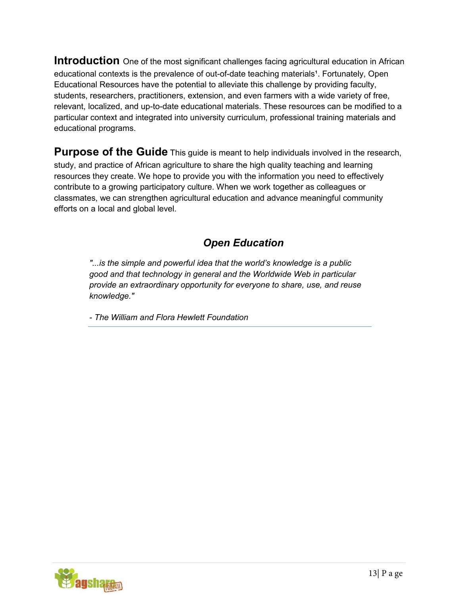**Introduction** One of the most significant challenges facing agricultural education in African educational contexts is the prevalence of out-of-date teaching materials<sup>1</sup>. Fortunately, Open Educational Resources have the potential to alleviate this challenge by providing faculty, students, researchers, practitioners, extension, and even farmers with a wide variety of free, relevant, localized, and up-to-date educational materials. These resources can be modified to a particular context and integrated into university curriculum, professional training materials and educational programs.

**Purpose of the Guide** This guide is meant to help individuals involved in the research, study, and practice of African agriculture to share the high quality teaching and learning resources they create. We hope to provide you with the information you need to effectively contribute to a growing participatory culture. When we work together as colleagues or classmates, we can strengthen agricultural education and advance meaningful community efforts on a local and global level.

# *Open Education*

*"...is the simple and powerful idea that the world's knowledge is a public good and that technology in general and the Worldwide Web in particular provide an extraordinary opportunity for everyone to share, use, and reuse knowledge."* 

*- The William and Flora Hewlett Foundation*

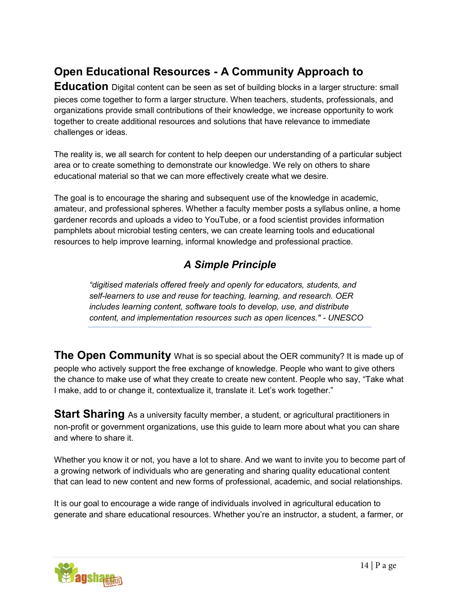# **Open Educational Resources - A Community Approach to**

**Education** Digital content can be seen as set of building blocks in a larger structure: small pieces come together to form a larger structure. When teachers, students, professionals, and organizations provide small contributions of their knowledge, we increase opportunity to work together to create additional resources and solutions that have relevance to immediate challenges or ideas.

The reality is, we all search for content to help deepen our understanding of a particular subject area or to create something to demonstrate our knowledge. We rely on others to share educational material so that we can more effectively create what we desire.

The goal is to encourage the sharing and subsequent use of the knowledge in academic, amateur, and professional spheres. Whether a faculty member posts a syllabus online, a home gardener records and uploads a video to YouTube, or a food scientist provides information pamphlets about microbial testing centers, we can create learning tools and educational resources to help improve learning, informal knowledge and professional practice.

# *A Simple Principle*

*"digitised materials offered freely and openly for educators, students, and self-learners to use and reuse for teaching, learning, and research. OER includes learning content, software tools to develop, use, and distribute content, and implementation resources such as open licences." - UNESCO*

**The Open Community** What is so special about the OER community? It is made up of people who actively support the free exchange of knowledge. People who want to give others the chance to make use of what they create to create new content. People who say, "Take what I make, add to or change it, contextualize it, translate it. Let's work together."

**Start Sharing** As a university faculty member, a student, or agricultural practitioners in non-profit or government organizations, use this guide to learn more about what you can share and where to share it.

Whether you know it or not, you have a lot to share. And we want to invite you to become part of a growing network of individuals who are generating and sharing quality educational content that can lead to new content and new forms of professional, academic, and social relationships.

It is our goal to encourage a wide range of individuals involved in agricultural education to generate and share educational resources. Whether you're an instructor, a student, a farmer, or

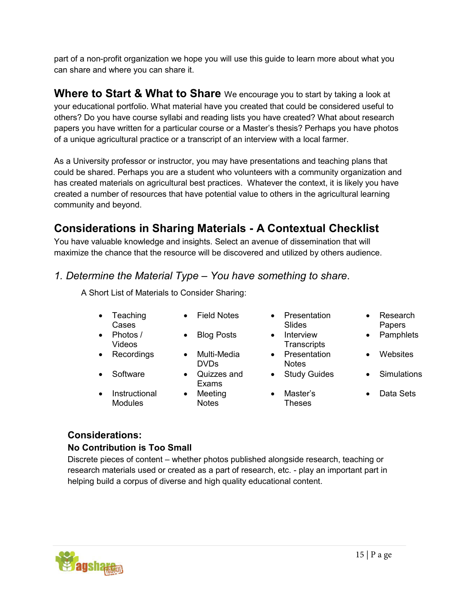part of a non-profit organization we hope you will use this guide to learn more about what you can share and where you can share it.

**Where to Start & What to Share** We encourage you to start by taking a look at your educational portfolio. What material have you created that could be considered useful to others? Do you have course syllabi and reading lists you have created? What about research papers you have written for a particular course or a Master's thesis? Perhaps you have photos of a unique agricultural practice or a transcript of an interview with a local farmer.

As a University professor or instructor, you may have presentations and teaching plans that could be shared. Perhaps you are a student who volunteers with a community organization and has created materials on agricultural best practices. Whatever the context, it is likely you have created a number of resources that have potential value to others in the agricultural learning community and beyond.

# **Considerations in Sharing Materials - A Contextual Checklist**

You have valuable knowledge and insights. Select an avenue of dissemination that will maximize the chance that the resource will be discovered and utilized by others audience.

## *1. Determine the Material Type* – *You have something to share*.

A Short List of Materials to Consider Sharing:

- Teaching Cases
- Photos / Videos
- -
- Instructional Modules
- 
- 
- Recordings Multi-Media DVDs
- Software Quizzes and Exams
	- Notes
- Field Notes Presentation Slides
	- Blog Posts Interview **Transcripts** 
		- Presentation **Notes**
		- Study Guides Simulations
		- Master's Theses
- Research Papers
- **Pamphlets**
- **Websites**
- 
- Data Sets

## **Considerations:**

## **No Contribution is Too Small**

Discrete pieces of content – whether photos published alongside research, teaching or research materials used or created as a part of research, etc. - play an important part in helping build a corpus of diverse and high quality educational content.



- Meeting
-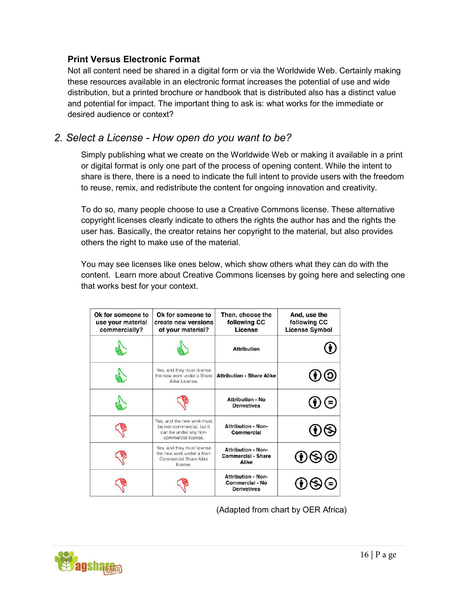## **Print Versus Electronic Format**

Not all content need be shared in a digital form or via the Worldwide Web. Certainly making these resources available in an electronic format increases the potential of use and wide distribution, but a printed brochure or handbook that is distributed also has a distinct value and potential for impact. The important thing to ask is: what works for the immediate or desired audience or context?

## *2. Select a License - How open do you want to be?*

Simply publishing what we create on the Worldwide Web or making it available in a print or digital format is only one part of the process of opening content. While the intent to share is there, there is a need to indicate the full intent to provide users with the freedom to reuse, remix, and redistribute the content for ongoing innovation and creativity.

To do so, many people choose to use a Creative Commons license. These alternative copyright licenses clearly indicate to others the rights the author has and the rights the user has. Basically, the creator retains her copyright to the material, but also provides others the right to make use of the material.

You may see licenses like ones below, which show others what they can do with the content. Learn more about Creative Commons licenses by going here and selecting one that works best for your context.

| Ok for someone to<br>use your material<br>commercially? | Ok for someone to<br>create new versions<br>of your material?                                           | Then, choose the<br>following CC<br>License                               | And, use the<br>following CC<br><b>License Symbol</b> |
|---------------------------------------------------------|---------------------------------------------------------------------------------------------------------|---------------------------------------------------------------------------|-------------------------------------------------------|
|                                                         |                                                                                                         | <b>Attribution</b>                                                        |                                                       |
|                                                         | Yes, and they must license<br>the new work under a Share<br>Alike License.                              | <b>Attribution - Share Alike</b>                                          |                                                       |
|                                                         |                                                                                                         | <b>Attribution - No</b><br><b>Derivatives</b>                             | $\ddot{\bullet}$                                      |
|                                                         | Yes, and the new work must<br>be non-commercial, but it<br>can be under any non-<br>commercial license. | <b>Attribution - Non-</b><br>Commercial                                   |                                                       |
|                                                         | Yes, and they must license<br>the new work under a Non-<br>Commercial Share Alike<br>license.           | <b>Attribution - Non-</b><br><b>Commercial - Share</b><br>Alike           |                                                       |
|                                                         |                                                                                                         | <b>Attribution - Non-</b><br><b>Commercial - No</b><br><b>Derivatives</b> |                                                       |

(Adapted from chart by OER Africa)

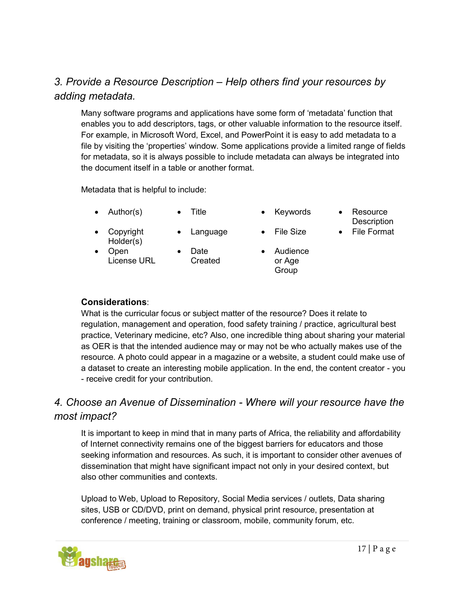## *3. Provide a Resource Description* – *Help others find your resources by adding metadata.*

Many software programs and applications have some form of 'metadata' function that enables you to add descriptors, tags, or other valuable information to the resource itself. For example, in Microsoft Word, Excel, and PowerPoint it is easy to add metadata to a file by visiting the 'properties' window. Some applications provide a limited range of fields for metadata, so it is always possible to include metadata can always be integrated into the document itself in a table or another format.

Metadata that is helpful to include:

- Author(s) Title • Keywords Resource
	-
- -
- Copyright Holder(s)
- 
- Open License URL
- Date Created
- Audience or Age Group
- **Description**
- Language File Size File Format

## **Considerations**:

What is the curricular focus or subject matter of the resource? Does it relate to regulation, management and operation, food safety training / practice, agricultural best practice, Veterinary medicine, etc? Also, one incredible thing about sharing your material as OER is that the intended audience may or may not be who actually makes use of the resource. A photo could appear in a magazine or a website, a student could make use of a dataset to create an interesting mobile application. In the end, the content creator - you - receive credit for your contribution.

## *4. Choose an Avenue of Dissemination - Where will your resource have the most impact?*

It is important to keep in mind that in many parts of Africa, the reliability and affordability of Internet connectivity remains one of the biggest barriers for educators and those seeking information and resources. As such, it is important to consider other avenues of dissemination that might have significant impact not only in your desired context, but also other communities and contexts.

Upload to Web, Upload to Repository, Social Media services / outlets, Data sharing sites, USB or CD/DVD, print on demand, physical print resource, presentation at conference / meeting, training or classroom, mobile, community forum, etc.

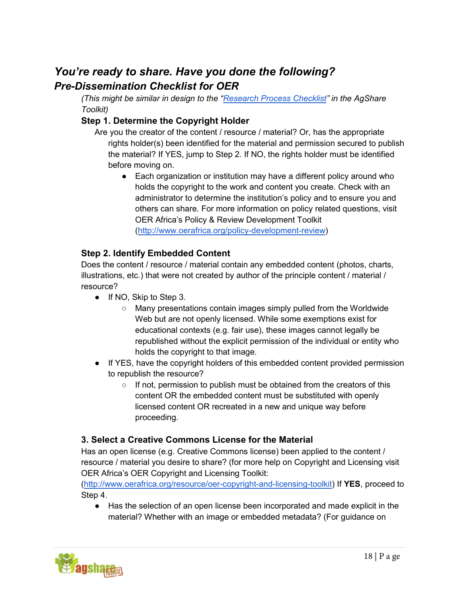# *You're ready to share. Have you done the following? Pre-Dissemination Checklist for OER*

*(This might be similar in design to the ["Research Process Checklist"](http://agsharetoolkit.com/research-project-process-checklist/) in the AgShare Toolkit)*

## **Step 1. Determine the Copyright Holder**

Are you the creator of the content / resource / material? Or, has the appropriate rights holder(s) been identified for the material and permission secured to publish the material? If YES, jump to Step 2. If NO, the rights holder must be identified before moving on.

• Each organization or institution may have a different policy around who holds the copyright to the work and content you create. Check with an administrator to determine the institution's policy and to ensure you and others can share. For more information on policy related questions, visit OER Africa's Policy & Review Development Toolkit [\(http://www.oerafrica.org/policy-development-review\)](http://www.oerafrica.org/policy-development-review)

## **Step 2. Identify Embedded Content**

Does the content / resource / material contain any embedded content (photos, charts, illustrations, etc.) that were not created by author of the principle content / material / resource?

- If NO, Skip to Step 3.
	- Many presentations contain images simply pulled from the Worldwide Web but are not openly licensed. While some exemptions exist for educational contexts (e.g. fair use), these images cannot legally be republished without the explicit permission of the individual or entity who holds the copyright to that image.
- If YES, have the copyright holders of this embedded content provided permission to republish the resource?
	- If not, permission to publish must be obtained from the creators of this content OR the embedded content must be substituted with openly licensed content OR recreated in a new and unique way before proceeding.

## **3. Select a Creative Commons License for the Material**

Has an open license (e.g. Creative Commons license) been applied to the content / resource / material you desire to share? (for more help on Copyright and Licensing visit OER Africa's OER Copyright and Licensing Toolkit:

[\(http://www.oerafrica.org/resource/oer-copyright-and-licensing-toolkit\)](http://www.oerafrica.org/resource/oer-copyright-and-licensing-toolkit) If **YES**, proceed to Step 4.

● Has the selection of an open license been incorporated and made explicit in the material? Whether with an image or embedded metadata? (For guidance on

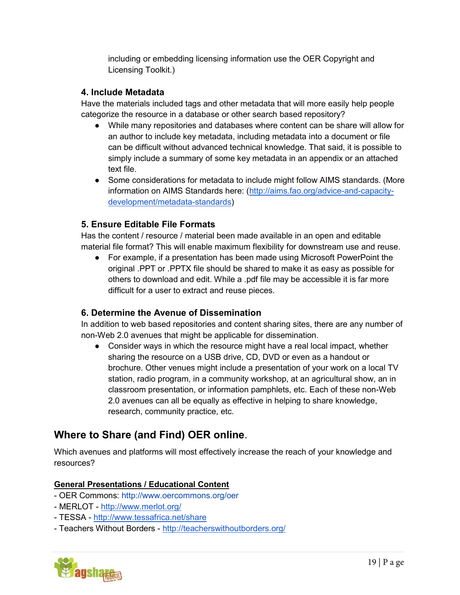including or embedding licensing information use the OER Copyright and Licensing Toolkit.)

## **4. Include Metadata**

Have the materials included tags and other metadata that will more easily help people categorize the resource in a database or other search based repository?

- While many repositories and databases where content can be share will allow for an author to include key metadata, including metadata into a document or file can be difficult without advanced technical knowledge. That said, it is possible to simply include a summary of some key metadata in an appendix or an attached text file.
- Some considerations for metadata to include might follow AIMS standards. (More information on AIMS Standards here: [\(http://aims.fao.org/advice-and-capacity](http://aims.fao.org/advice-and-capacity-development/metadata-standards)[development/metadata-standards\)](http://aims.fao.org/advice-and-capacity-development/metadata-standards)

## **5. Ensure Editable File Formats**

Has the content / resource / material been made available in an open and editable material file format? This will enable maximum flexibility for downstream use and reuse.

● For example, if a presentation has been made using Microsoft PowerPoint the original .PPT or .PPTX file should be shared to make it as easy as possible for others to download and edit. While a .pdf file may be accessible it is far more difficult for a user to extract and reuse pieces.

## **6. Determine the Avenue of Dissemination**

In addition to web based repositories and content sharing sites, there are any number of non-Web 2.0 avenues that might be applicable for dissemination.

• Consider ways in which the resource might have a real local impact, whether sharing the resource on a USB drive, CD, DVD or even as a handout or brochure. Other venues might include a presentation of your work on a local TV station, radio program, in a community workshop, at an agricultural show, an in classroom presentation, or information pamphlets, etc. Each of these non-Web 2.0 avenues can all be equally as effective in helping to share knowledge, research, community practice, etc.

## **Where to Share (and Find) OER online**.

Which avenues and platforms will most effectively increase the reach of your knowledge and resources?

## **General Presentations / Educational Content**

- OER Commons:<http://www.oercommons.org/oer>
- MERLOT -<http://www.merlot.org/>
- TESSA -<http://www.tessafrica.net/share>
- Teachers Without Borders -<http://teacherswithoutborders.org/>

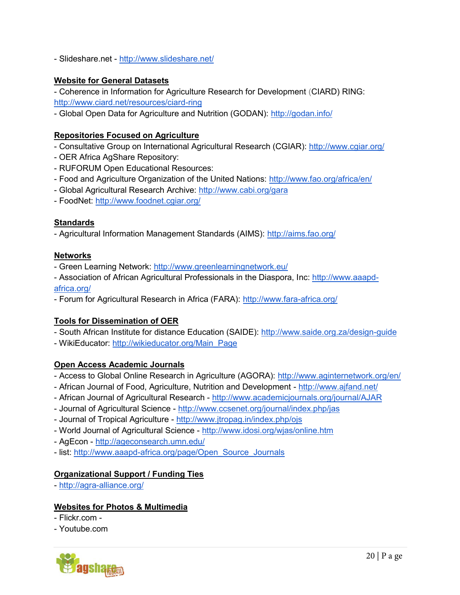- Slideshare.net -<http://www.slideshare.net/>

### **Website for General Datasets**

- Coherence in Information for Agriculture Research for Development (CIARD) RING: <http://www.ciard.net/resources/ciard-ring>

- Global Open Data for Agriculture and Nutrition (GODAN):<http://godan.info/>

### **Repositories Focused on Agriculture**

- Consultative Group on International Agricultural Research (CGIAR):<http://www.cgiar.org/>
- OER Africa AgShare Repository:
- RUFORUM Open Educational Resources:
- Food and Agriculture Organization of the United Nations:<http://www.fao.org/africa/en/>
- Global Agricultural Research Archive:<http://www.cabi.org/gara>
- FoodNet:<http://www.foodnet.cgiar.org/>

## **Standards**

- Agricultural Information Management Standards (AIMS):<http://aims.fao.org/>

### **Networks**

- Green Learning Network:<http://www.greenlearningnetwork.eu/>
- Association of African Agricultural Professionals in the Diaspora, Inc: [http://www.aaapd](http://www.aaapd-africa.org/)[africa.org/](http://www.aaapd-africa.org/)
- Forum for Agricultural Research in Africa (FARA): http://www.fara-africa.org/

## **Tools for Dissemination of OER**

- South African Institute for distance Education (SAIDE):<http://www.saide.org.za/design-guide>
- WikiEducator: [http://wikieducator.org/Main\\_Page](http://wikieducator.org/Main_Page)

## **Open Access Academic Journals**

- Access to Global Online Research in Agriculture (AGORA):<http://www.aginternetwork.org/en/>
- African Journal of Food, Agriculture, Nutrition and Development -<http://www.ajfand.net/>
- African Journal of Agricultural Research -<http://www.academicjournals.org/journal/AJAR>
- Journal of Agricultural Science -<http://www.ccsenet.org/journal/index.php/jas>
- Journal of Tropical Agriculture -<http://www.jtropag.in/index.php/ojs>
- World Journal of Agricultural Science -<http://www.idosi.org/wjas/online.htm>
- AgEcon -<http://ageconsearch.umn.edu/>
- list: [http://www.aaapd-africa.org/page/Open\\_Source\\_Journals](http://www.aaapd-africa.org/page/Open_Source_Journals)

## **Organizational Support / Funding Ties**

-<http://agra-alliance.org/>

## **Websites for Photos & Multimedia**

- Flickr.com -
- Youtube.com

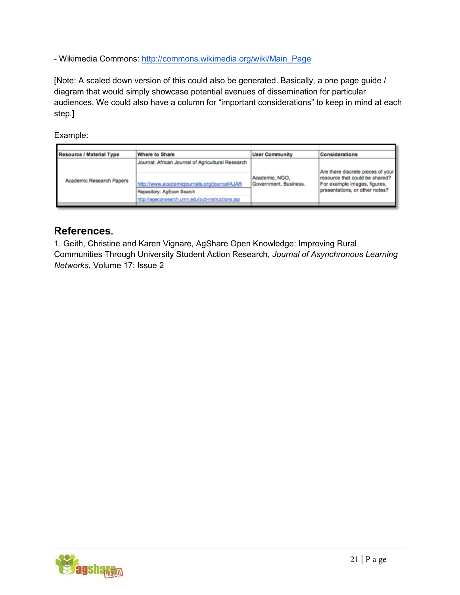- Wikimedia Commons: [http://commons.wikimedia.org/wiki/Main\\_Page](http://commons.wikimedia.org/wiki/Main_Page)

[Note: A scaled down version of this could also be generated. Basically, a one page guide / diagram that would simply showcase potential avenues of dissemination for particular audiences. We could also have a column for "important considerations" to keep in mind at each step.]

Example:

| <b>Resource / Material Type</b> | <b>Where to Share</b>                             | <b>User Community</b>                   | <b>Considerations</b>                                          |
|---------------------------------|---------------------------------------------------|-----------------------------------------|----------------------------------------------------------------|
|                                 | Journal: African Journal of Agricultural Research |                                         | Are there discrete pieces of your                              |
| Academic Research Papers        | http://www.academicjournals.org/journal/AJAR      | Academic, NGO,<br>Government, Business. | resource that could be shared?<br>For example images, figures, |
|                                 | Repository: AgEcon Search                         |                                         | presentations, or other notes?                                 |
|                                 | http://ageconsearch.umn.edu/sub-instructions.isp  |                                         |                                                                |
|                                 |                                                   |                                         |                                                                |

## **References.**

1. Geith, Christine and Karen Vignare, AgShare Open Knowledge: Improving Rural Communities Through University Student Action Research, *Journal of Asynchronous Learning Networks*, Volume 17: Issue 2

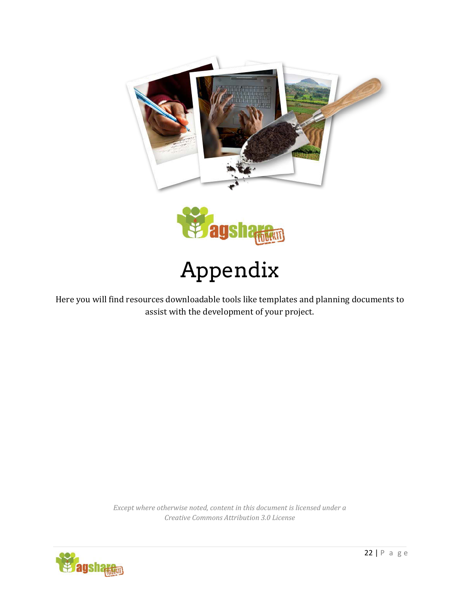<span id="page-21-0"></span>

Here you will find resources downloadable tools like templates and planning documents to assist with the development of your project.

> *Except where otherwise noted, content in this document is licensed under a Creative Commons Attribution 3.0 License*

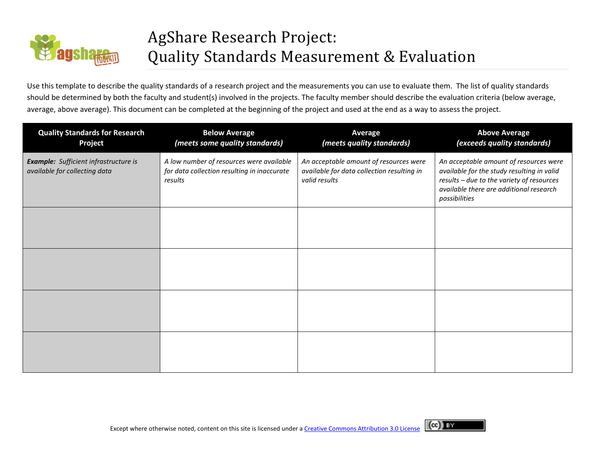<span id="page-22-0"></span>

# AgShare Research Project: Quality Standards Measurement & Evaluation

Use this template to describe the quality standards of a research project and the measurements you can use to evaluate them. The list of quality standards should be determined by both the faculty and student(s) involved in the projects. The faculty member should describe the evaluation criteria (below average, average, above average). This document can be completed at the beginning of the project and used at the end as a way to assess the project.

| <b>Quality Standards for Research</b><br>Project                              | <b>Below Average</b><br>(meets some quality standards)                                             | Average<br>(meets quality standards)                                                                  | <b>Above Average</b><br>(exceeds quality standards)                                                                                                                                           |
|-------------------------------------------------------------------------------|----------------------------------------------------------------------------------------------------|-------------------------------------------------------------------------------------------------------|-----------------------------------------------------------------------------------------------------------------------------------------------------------------------------------------------|
| <b>Example:</b> Sufficient infrastructure is<br>available for collecting data | A low number of resources were available<br>for data collection resulting in inaccurate<br>results | An acceptable amount of resources were<br>available for data collection resulting in<br>valid results | An acceptable amount of resources were<br>available for the study resulting in valid<br>results - due to the variety of resources<br>available there are additional research<br>possibilities |
|                                                                               |                                                                                                    |                                                                                                       |                                                                                                                                                                                               |
|                                                                               |                                                                                                    |                                                                                                       |                                                                                                                                                                                               |
|                                                                               |                                                                                                    |                                                                                                       |                                                                                                                                                                                               |
|                                                                               |                                                                                                    |                                                                                                       |                                                                                                                                                                                               |

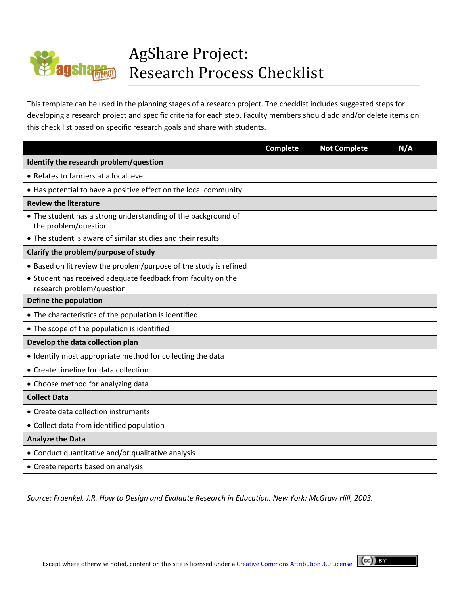# <span id="page-23-0"></span>AgShare Project: Research Process Checklist

This template can be used in the planning stages of a research project. The checklist includes suggested steps for developing a research project and specific criteria for each step. Faculty members should add and/or delete items on this check list based on specific research goals and share with students.

|                                                                                           | <b>Complete</b> | <b>Not Complete</b> | N/A |
|-------------------------------------------------------------------------------------------|-----------------|---------------------|-----|
| Identify the research problem/question                                                    |                 |                     |     |
| • Relates to farmers at a local level                                                     |                 |                     |     |
| • Has potential to have a positive effect on the local community                          |                 |                     |     |
| <b>Review the literature</b>                                                              |                 |                     |     |
| • The student has a strong understanding of the background of<br>the problem/question     |                 |                     |     |
| • The student is aware of similar studies and their results                               |                 |                     |     |
| Clarify the problem/purpose of study                                                      |                 |                     |     |
| • Based on lit review the problem/purpose of the study is refined                         |                 |                     |     |
| • Student has received adequate feedback from faculty on the<br>research problem/question |                 |                     |     |
| Define the population                                                                     |                 |                     |     |
| • The characteristics of the population is identified                                     |                 |                     |     |
| • The scope of the population is identified                                               |                 |                     |     |
| Develop the data collection plan                                                          |                 |                     |     |
| • Identify most appropriate method for collecting the data                                |                 |                     |     |
| • Create timeline for data collection                                                     |                 |                     |     |
| • Choose method for analyzing data                                                        |                 |                     |     |
| <b>Collect Data</b>                                                                       |                 |                     |     |
| • Create data collection instruments                                                      |                 |                     |     |
| • Collect data from identified population                                                 |                 |                     |     |
| <b>Analyze the Data</b>                                                                   |                 |                     |     |
| • Conduct quantitative and/or qualitative analysis                                        |                 |                     |     |
| • Create reports based on analysis                                                        |                 |                     |     |

*Source: Fraenkel, J.R. How to Design and Evaluate Research in Education. New York: McGraw Hill, 2003.*

 $\left(\mathrm{cc}\right)$  and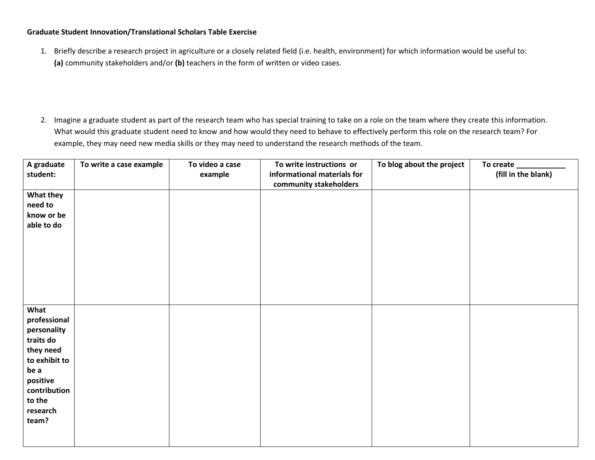#### <span id="page-24-0"></span>**Graduate Student Innovation/Translational Scholars Table Exercise**

1. Briefly describe a research project in agriculture or a closely related field (i.e. health, environment) for which information would be useful to: **(a)** community stakeholders and/or **(b)** teachers in the form of written or video cases.

2. Imagine a graduate student as part of the research team who has special training to take on a role on the team where they create this information. What would this graduate student need to know and how would they need to behave to effectively perform this role on the research team? For example, they may need new media skills or they may need to understand the research methods of the team.

| A graduate<br>student:   | To write a case example | To video a case<br>example | To write instructions or<br>informational materials for | To blog about the project | (fill in the blank) |
|--------------------------|-------------------------|----------------------------|---------------------------------------------------------|---------------------------|---------------------|
|                          |                         |                            | community stakeholders                                  |                           |                     |
| What they                |                         |                            |                                                         |                           |                     |
| need to                  |                         |                            |                                                         |                           |                     |
| know or be               |                         |                            |                                                         |                           |                     |
| able to do               |                         |                            |                                                         |                           |                     |
| What                     |                         |                            |                                                         |                           |                     |
| professional             |                         |                            |                                                         |                           |                     |
| personality<br>traits do |                         |                            |                                                         |                           |                     |
| they need                |                         |                            |                                                         |                           |                     |
| to exhibit to            |                         |                            |                                                         |                           |                     |
| be a                     |                         |                            |                                                         |                           |                     |
| positive<br>contribution |                         |                            |                                                         |                           |                     |
| to the                   |                         |                            |                                                         |                           |                     |
| research                 |                         |                            |                                                         |                           |                     |
| team?                    |                         |                            |                                                         |                           |                     |
|                          |                         |                            |                                                         |                           |                     |
|                          |                         |                            |                                                         |                           |                     |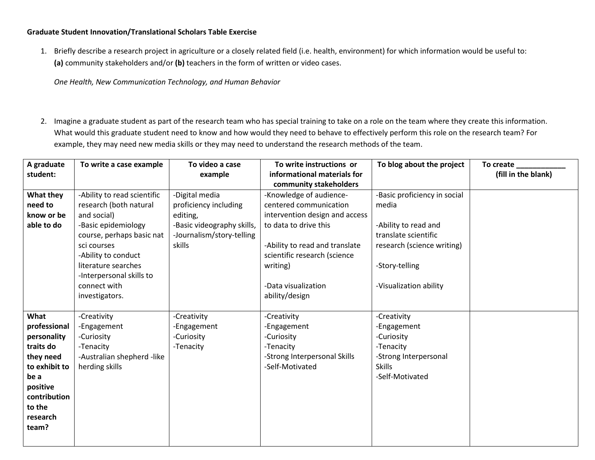#### **Graduate Student Innovation/Translational Scholars Table Exercise**

1. Briefly describe a research project in agriculture or a closely related field (i.e. health, environment) for which information would be useful to: **(a)** community stakeholders and/or **(b)** teachers in the form of written or video cases.

*One Health, New Communication Technology, and Human Behavior*

2. Imagine a graduate student as part of the research team who has special training to take on a role on the team where they create this information. What would this graduate student need to know and how would they need to behave to effectively perform this role on the research team? For example, they may need new media skills or they may need to understand the research methods of the team.

| A graduate    | To write a case example     | To video a case            | To write instructions or       | To blog about the project    | To create           |
|---------------|-----------------------------|----------------------------|--------------------------------|------------------------------|---------------------|
| student:      |                             | example                    | informational materials for    |                              | (fill in the blank) |
|               |                             |                            | community stakeholders         |                              |                     |
| What they     | -Ability to read scientific | -Digital media             | -Knowledge of audience-        | -Basic proficiency in social |                     |
| need to       | research (both natural      | proficiency including      | centered communication         | media                        |                     |
| know or be    | and social)                 | editing,                   | intervention design and access |                              |                     |
| able to do    | -Basic epidemiology         | -Basic videography skills, | to data to drive this          | -Ability to read and         |                     |
|               | course, perhaps basic nat   | -Journalism/story-telling  |                                | translate scientific         |                     |
|               | sci courses                 | skills                     | -Ability to read and translate | research (science writing)   |                     |
|               | -Ability to conduct         |                            | scientific research (science   |                              |                     |
|               | literature searches         |                            | writing)                       | -Story-telling               |                     |
|               | -Interpersonal skills to    |                            |                                |                              |                     |
|               | connect with                |                            | -Data visualization            | -Visualization ability       |                     |
|               | investigators.              |                            | ability/design                 |                              |                     |
|               |                             |                            |                                |                              |                     |
| What          | -Creativity                 | -Creativity                | -Creativity                    | -Creativity                  |                     |
| professional  | -Engagement                 | -Engagement                | -Engagement                    | -Engagement                  |                     |
| personality   | -Curiosity                  | -Curiosity                 | -Curiosity                     | -Curiosity                   |                     |
| traits do     | -Tenacity                   | -Tenacity                  | -Tenacity                      | -Tenacity                    |                     |
| they need     | -Australian shepherd -like  |                            | -Strong Interpersonal Skills   | -Strong Interpersonal        |                     |
| to exhibit to | herding skills              |                            | -Self-Motivated                | <b>Skills</b>                |                     |
| be a          |                             |                            |                                | -Self-Motivated              |                     |
| positive      |                             |                            |                                |                              |                     |
| contribution  |                             |                            |                                |                              |                     |
| to the        |                             |                            |                                |                              |                     |
| research      |                             |                            |                                |                              |                     |
| team?         |                             |                            |                                |                              |                     |
|               |                             |                            |                                |                              |                     |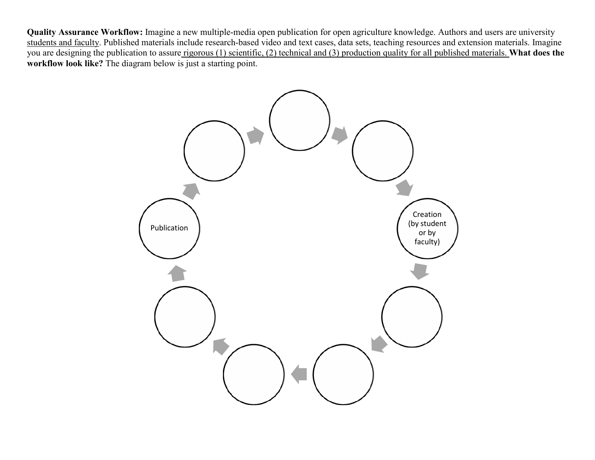**Quality Assurance Workflow:** Imagine a new multiple-media open publication for open agriculture knowledge. Authors and users are university students and faculty. Published materials include research-based video and text cases, data sets, teaching resources and extension materials. Imagine you are designing the publication to assure rigorous (1) scientific, (2) technical and (3) production quality for all published materials. **What does the workflow look like?** The diagram below is just a starting point.

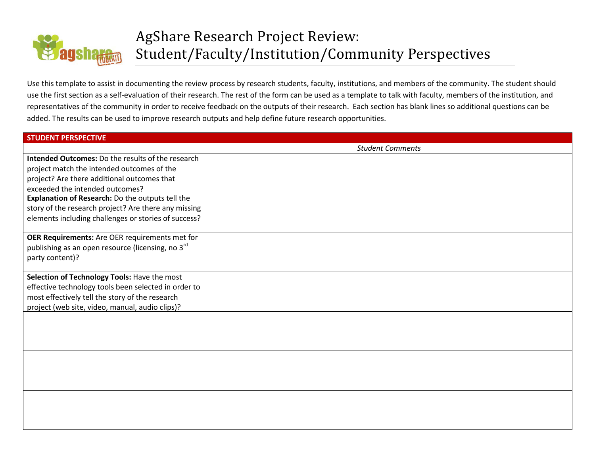

Use this template to assist in documenting the review process by research students, faculty, institutions, and members of the community. The student should use the first section as a self-evaluation of their research. The rest of the form can be used as a template to talk with faculty, members of the institution, and representatives of the community in order to receive feedback on the outputs of their research. Each section has blank lines so additional questions can be added. The results can be used to improve research outputs and help define future research opportunities.

| <b>STUDENT PERSPECTIVE</b>                               |                         |
|----------------------------------------------------------|-------------------------|
|                                                          | <b>Student Comments</b> |
| <b>Intended Outcomes:</b> Do the results of the research |                         |
| project match the intended outcomes of the               |                         |
| project? Are there additional outcomes that              |                         |
| exceeded the intended outcomes?                          |                         |
| Explanation of Research: Do the outputs tell the         |                         |
| story of the research project? Are there any missing     |                         |
| elements including challenges or stories of success?     |                         |
|                                                          |                         |
| OER Requirements: Are OER requirements met for           |                         |
| publishing as an open resource (licensing, no 3rd        |                         |
| party content)?                                          |                         |
|                                                          |                         |
| Selection of Technology Tools: Have the most             |                         |
| effective technology tools been selected in order to     |                         |
| most effectively tell the story of the research          |                         |
| project (web site, video, manual, audio clips)?          |                         |
|                                                          |                         |
|                                                          |                         |
|                                                          |                         |
|                                                          |                         |
|                                                          |                         |
|                                                          |                         |
|                                                          |                         |
|                                                          |                         |
|                                                          |                         |
|                                                          |                         |
|                                                          |                         |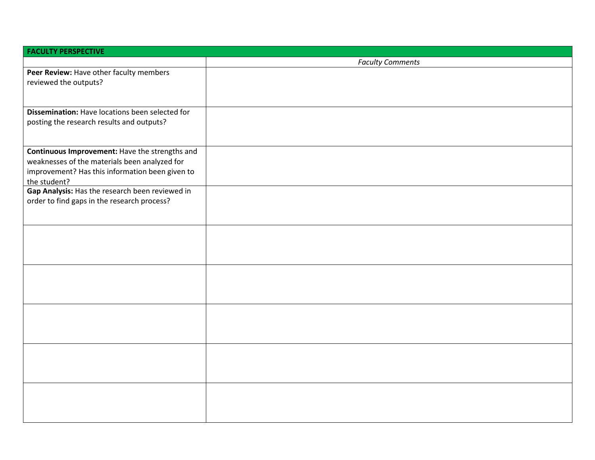| <b>FACULTY PERSPECTIVE</b>                      |                         |
|-------------------------------------------------|-------------------------|
|                                                 | <b>Faculty Comments</b> |
| Peer Review: Have other faculty members         |                         |
| reviewed the outputs?                           |                         |
|                                                 |                         |
|                                                 |                         |
| Dissemination: Have locations been selected for |                         |
| posting the research results and outputs?       |                         |
|                                                 |                         |
|                                                 |                         |
| Continuous Improvement: Have the strengths and  |                         |
| weaknesses of the materials been analyzed for   |                         |
| improvement? Has this information been given to |                         |
| the student?                                    |                         |
| Gap Analysis: Has the research been reviewed in |                         |
| order to find gaps in the research process?     |                         |
|                                                 |                         |
|                                                 |                         |
|                                                 |                         |
|                                                 |                         |
|                                                 |                         |
|                                                 |                         |
|                                                 |                         |
|                                                 |                         |
|                                                 |                         |
|                                                 |                         |
|                                                 |                         |
|                                                 |                         |
|                                                 |                         |
|                                                 |                         |
|                                                 |                         |
|                                                 |                         |
|                                                 |                         |
|                                                 |                         |
|                                                 |                         |
|                                                 |                         |
|                                                 |                         |
|                                                 |                         |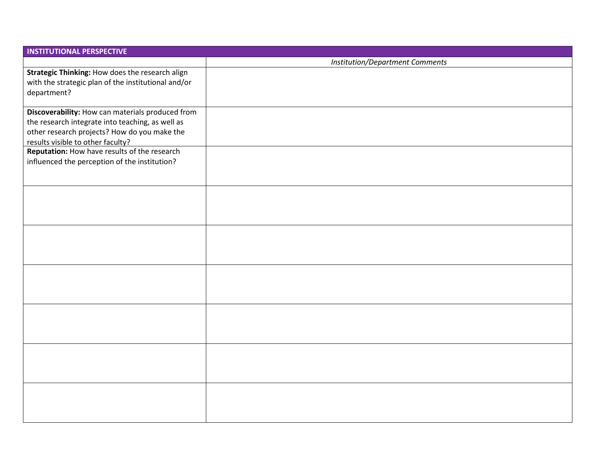| <b>INSTITUTIONAL PERSPECTIVE</b>                                                                                                                                                          |                                        |
|-------------------------------------------------------------------------------------------------------------------------------------------------------------------------------------------|----------------------------------------|
|                                                                                                                                                                                           | <b>Institution/Department Comments</b> |
| Strategic Thinking: How does the research align<br>with the strategic plan of the institutional and/or<br>department?                                                                     |                                        |
| Discoverability: How can materials produced from<br>the research integrate into teaching, as well as<br>other research projects? How do you make the<br>results visible to other faculty? |                                        |
| Reputation: How have results of the research<br>influenced the perception of the institution?                                                                                             |                                        |
|                                                                                                                                                                                           |                                        |
|                                                                                                                                                                                           |                                        |
|                                                                                                                                                                                           |                                        |
|                                                                                                                                                                                           |                                        |
|                                                                                                                                                                                           |                                        |
|                                                                                                                                                                                           |                                        |